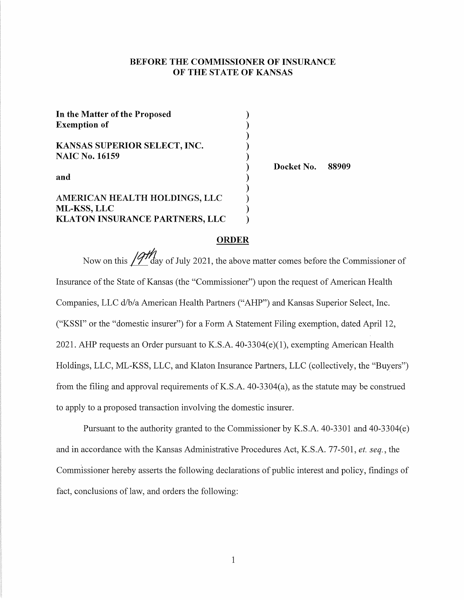# BEFORE THE COMMISSIONER OF INSURANCE OF THE STATE OF KANSAS

| In the Matter of the Proposed<br><b>Exemption of</b> |  |
|------------------------------------------------------|--|
| KANSAS SUPERIOR SELECT, INC.                         |  |
| <b>NAIC No. 16159</b>                                |  |
| and                                                  |  |
| AMERICAN HEALTH HOLDINGS, LLC                        |  |
| ML-KSS, LLC                                          |  |
| <b>KLATON INSURANCE PARTNERS, LLC</b>                |  |

Docket No. 88909

# **ORDER**

Now on this  $/9\frac{M}{4}$  day of July 2021, the above matter comes before the Commissioner of Insurance of the State of Kansas ( the "Commissioner") upon the request of American Health Companies, LLC d/b/a American Health Partners ("AHP") and Kansas Superior Select, Inc. ("KSSI" or the "domestic insurer") for a Form A Statement Filing exemption, dated April 12, 2021. AHP requests an Order pursuant to K.S.A. 40-3304(e)(l), exempting American Health Holdings, LLC, ML-KSS, LLC, and Klaton Insurance Partners, LLC (collectively, the "Buyers") from the filing and approval requirements ofK.S.A. 40-3304(a), as the statute may be construed to apply to a proposed transaction involving the domestic insurer.

Pursuant to the authority granted to the Commissioner by K.S.A. 40-3301 and 40-3304(e) and in accordance with the Kansas Administrative Procedures Act, K.S.A. 77-501, *et. seq.,* the Commissioner hereby asserts the following declarations of public interest and policy, findings of fact, conclusions of law, and orders the following: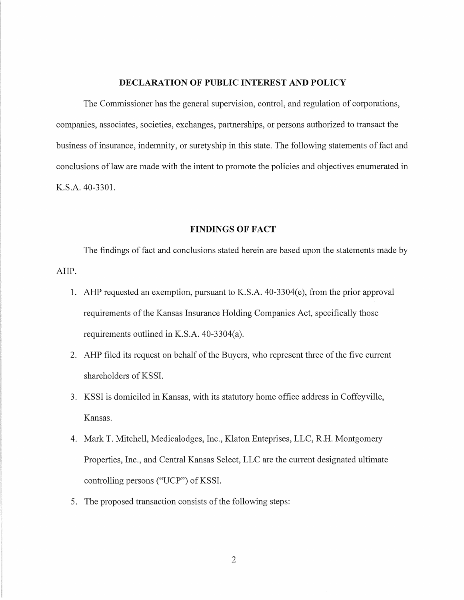#### **DECLARATION OF PUBLIC INTEREST AND POLICY**

The Commissioner has the general supervision, control, and regulation of corporations, companies, associates, societies, exchanges, partnerships, or persons authorized to transact the business of insurance, indemnity, or surety ship in this state. The following statements of fact and conclusions of law are made with the intent to promote the policies and objectives enumerated in K.S.A. 40-3301.

### **FINDINGS OF FACT**

The findings of fact and conclusions stated herein are based upon the statements made by AHP.

- 1. AHP requested an exemption, pursuant to K.S.A. 40-3304(e), from the prior approval requirements of the Kansas Insurance Holding Companies Act, specifically those requirements outlined in K.S.A. 40-3304(a).
- 2. AHP filed its request on behalf of the Buyers, who represent three of the five current shareholders of KSSI.
- 3. KSSI is domiciled in Kansas, with its statutory home office address in Coffeyville, Kansas.
- 4. Mark T. Mitchell, Medicalodges, Inc., Klaton Enteprises, LLC, R.H. Montgomery Properties, Inc., and Central Kansas Select, LLC are the current designated ultimate controlling persons ("UCP") of KSSI.
- 5. The proposed transaction consists of the following steps: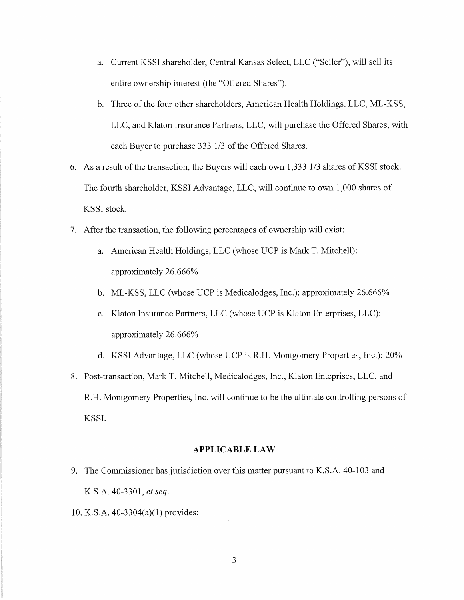- a. Current KSSI shareholder, Central Kansas Select, LLC ("Seller"), will sell its entire ownership interest (the "Offered Shares").
- b. Three of the four other shareholders, American Health Holdings, LLC, ML-KSS, LLC, and Klaton Insurance Partners, LLC, will purchase the Offered Shares, with each Buyer to purchase 333 1/3 of the Offered Shares.
- 6. As a result of the transaction, the Buyers will each own 1,333 1/3 shares of KSSI stock. The fourth shareholder, KSSI Advantage, LLC, will continue to own 1,000 shares of KSSI stock.
- 7. After the transaction, the following percentages of ownership will exist:
	- a. American Health Holdings, LLC (whose UCP is Mark T. Mitchell): approximately 26.666%
	- b. ML-KSS, LLC (whose UCP is Medicalodges, Inc.): approximately 26.666%
	- c. Klaton Insurance Partners, LLC (whose UCP is Klaton Enterprises, LLC): approximately 26.666%
	- d. KSSI Advantage, LLC (whose UCP is R.H. Montgomery Properties, Inc.): 20%
- 8. Post-transaction, Mark T. Mitchell, Medicalodges, Inc., Klaton Enteprises, LLC, and R.H. Montgomery Properties, Inc. will continue to be the ultimate controlling persons of KSSI.

#### **APPLICABLE LAW**

- 9. The Commissioner has jurisdiction over this matter pursuant to K.S.A. 40-103 and K.S.A. 40-3301, *et seq.*
- 10. K.S.A. 40-3304(a)(l) provides: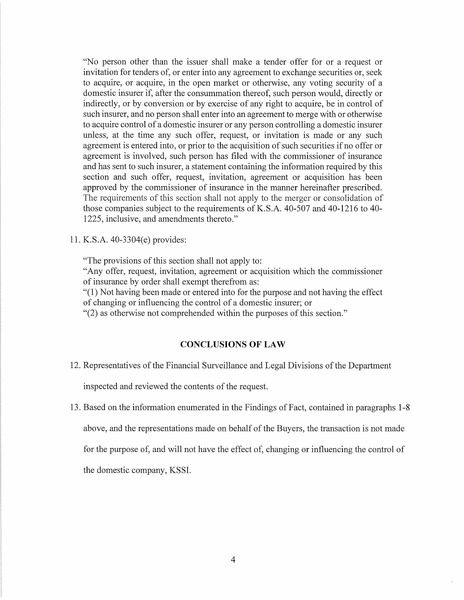"No person other than the issuer shall make a tender offer for or a request or invitation for tenders of, or enter into any agreement to exchange securities or, seek to acquire, or acquire, in the open market or otherwise, any voting security of a domestic insurer if, after the consummation thereof, such person would, directly or indirectly, or by conversion or by exercise of any right to acquire, be in control of such insurer, and no person shall enter into an agreement to merge with or otherwise to acquire control of a domestic insurer or any person controlling a domestic insurer unless, at the time any such offer, request, or invitation is made or any such agreement is entered into, or prior to the acquisition of such securities if no offer or agreement is involved, such person has filed with the commissioner of insurance and has sent to such insurer, a statement containing the information required by this section and such offer, request, invitation, agreement or acquisition has been approved by the commissioner of insurance in the manner hereinafter prescribed. The requirements of this section shall not apply to the merger or consolidation of those companies subject to the requirements of K.S.A. 40-507 and 40-1216 to 40- 1225, inclusive, and amendments thereto."

11. K.S.A. 40-3304(e) provides:

"The provisions of this section shall not apply to:

"Any offer, request, invitation, agreement or acquisition which the commissioner of insurance by order shall exempt therefrom as:

"( 1) Not having been made or entered into for the purpose and not having the effect of changing or influencing the control of a domestic insurer; or

"(2) as otherwise not comprehended within the purposes of this section."

# **CONCLUSIONS OF LAW**

12. Representatives of the Financial Surveillance and Legal Divisions of the Department

inspected and reviewed the contents of the request.

13. Based on the information enumerated in the Findings of Fact, contained in paragraphs 1-8

above, and the representations made on behalf of the Buyers, the transaction is not made

for the purpose of, and will not have the effect of, changing or influencing the control of

the domestic company, KSSI.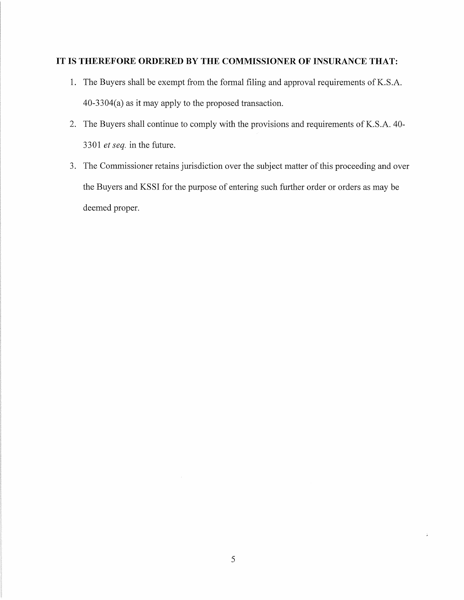# **IT IS THEREFORE ORDERED BY THE COMMISSIONER OF INSURANCE THAT:**

- 1. The Buyers shall be exempt from the formal filing and approval requirements of K.S.A. 40-3304(a) as it may apply to the proposed transaction.
- 2. The Buyers shall continue to comply with the provisions and requirements of K.S.A. 40-3301 *et seq.* in the future.
- 3. The Commissioner retains jurisdiction over the subject matter of this proceeding and over the Buyers and KSSI for the purpose of entering such further order or orders as may be deemed proper.

 $\mathbb{I}$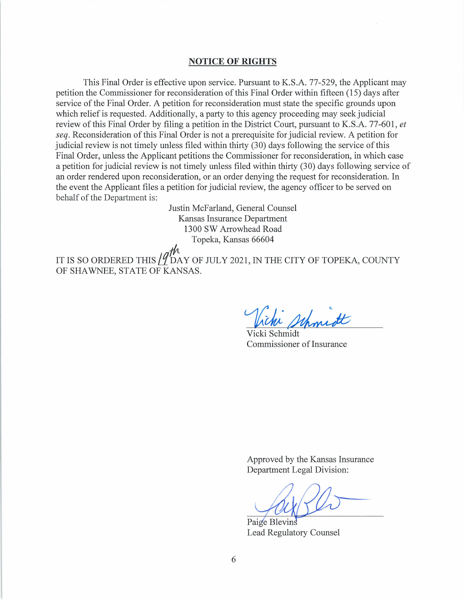#### **NOTICE OF RIGHTS**

This Final Order is effective upon service. Pursuant to K.S.A. 77-529, the Applicant may petition the Commissioner for reconsideration of this Final Order within fifteen (15) days after service of the Final Order. A petition for reconsideration must state the specific grounds upon which relief is requested. Additionally, a party to this agency proceeding may seek judicial review of this Final Order by filing a petition in the District Court, pursuant to K.S.A. 77-601, *et seq.* Reconsideration of this Final Order is not a prerequisite for judicial review. A petition for judicial review is not timely unless filed within thirty (30) days following the service of this Final Order, unless the Applicant petitions the Commissioner for reconsideration, in which case a petition for judicial review is not timely unless filed within thirty (30) days following service of an order rendered upon reconsideration, or an order denying the request for reconsideration. In the event the Applicant files a petition for judicial review, the agency officer to be served on behalf of the Department is:

> Justin McFarland, General Counsel Kansas Insurance Department 1300 SW Arrowhead Road Topeka, Kansas 66604

IT IS SO ORDERED THIS  $\int_{0}^{\pi} \int_{0}^{\pi}$  (DAY OF JULY 2021, IN THE CITY OF TOPEKA, COUNTY OF SHAWNEE, STATE OF KANSAS.

Vicki Schmidt Commissioner of Insurance

Approved by the Kansas Insurance Department Legal Division:

Paige Blevins Lead Regulatory Counsel